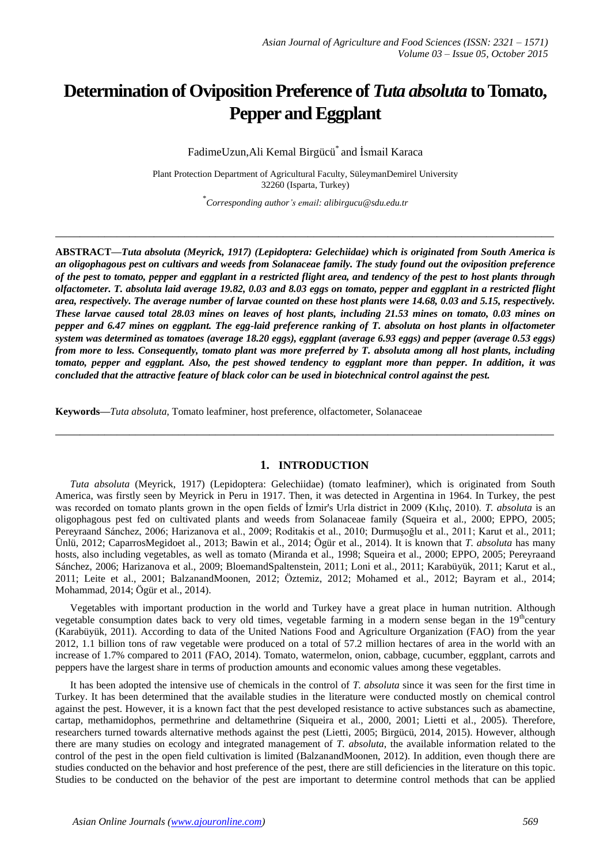# **Determination of Oviposition Preference of** *Tuta absoluta* **to Tomato, Pepper and Eggplant**

FadimeUzun,Ali Kemal Birgücü\* and İsmail Karaca

Plant Protection Department of Agricultural Faculty, SüleymanDemirel University 32260 (Isparta, Turkey)

\* *Corresponding author's email: alibirgucu@sdu.edu.tr*

**\_\_\_\_\_\_\_\_\_\_\_\_\_\_\_\_\_\_\_\_\_\_\_\_\_\_\_\_\_\_\_\_\_\_\_\_\_\_\_\_\_\_\_\_\_\_\_\_\_\_\_\_\_\_\_\_\_\_\_\_\_\_\_\_\_\_\_\_\_\_\_\_\_\_\_\_\_\_\_\_\_**

**ABSTRACT—***Tuta absoluta (Meyrick, 1917) (Lepidoptera: Gelechiidae) which is originated from South America is an oligophagous pest on cultivars and weeds from Solanaceae family. The study found out the oviposition preference of the pest to tomato, pepper and eggplant in a restricted flight area, and tendency of the pest to host plants through olfactometer. T. absoluta laid average 19.82, 0.03 and 8.03 eggs on tomato, pepper and eggplant in a restricted flight area, respectively. The average number of larvae counted on these host plants were 14.68, 0.03 and 5.15, respectively. These larvae caused total 28.03 mines on leaves of host plants, including 21.53 mines on tomato, 0.03 mines on pepper and 6.47 mines on eggplant. The egg-laid preference ranking of T. absoluta on host plants in olfactometer system was determined as tomatoes (average 18.20 eggs), eggplant (average 6.93 eggs) and pepper (average 0.53 eggs) from more to less. Consequently, tomato plant was more preferred by T. absoluta among all host plants, including tomato, pepper and eggplant. Also, the pest showed tendency to eggplant more than pepper. In addition, it was concluded that the attractive feature of black color can be used in biotechnical control against the pest.*

**Keywords—***Tuta absoluta*, Tomato leafminer, host preference, olfactometer, Solanaceae

## **1. INTRODUCTION**

**\_\_\_\_\_\_\_\_\_\_\_\_\_\_\_\_\_\_\_\_\_\_\_\_\_\_\_\_\_\_\_\_\_\_\_\_\_\_\_\_\_\_\_\_\_\_\_\_\_\_\_\_\_\_\_\_\_\_\_\_\_\_\_\_\_\_\_\_\_\_\_\_\_\_\_\_\_\_\_\_\_**

*Tuta absoluta* (Meyrick, 1917) (Lepidoptera: Gelechiidae) (tomato leafminer), which is originated from South America, was firstly seen by Meyrick in Peru in 1917. Then, it was detected in Argentina in 1964. In Turkey, the pest was recorded on tomato plants grown in the open fields of İzmir's Urla district in 2009 (Kılıç, 2010). *T. absoluta* is an oligophagous pest fed on cultivated plants and weeds from Solanaceae family (Squeira et al., 2000; EPPO, 2005; Pereyraand Sánchez, 2006; Harizanova et al., 2009; Roditakis et al., 2010; Durmuşoğlu et al., 2011; Karut et al., 2011; Ünlü, 2012; CaparrosMegidoet al., 2013; Bawin et al., 2014; Ögür et al., 2014). It is known that *T. absoluta* has many hosts, also including vegetables, as well as tomato (Miranda et al., 1998; Squeira et al., 2000; EPPO, 2005; Pereyraand Sánchez, 2006; Harizanova et al., 2009; BloemandSpaltenstein, 2011; Loni et al., 2011; Karabüyük, 2011; Karut et al., 2011; Leite et al., 2001; BalzanandMoonen, 2012; Öztemiz, 2012; Mohamed et al., 2012; Bayram et al., 2014; Mohammad, 2014; Ögür et al., 2014).

Vegetables with important production in the world and Turkey have a great place in human nutrition. Although vegetable consumption dates back to very old times, vegetable farming in a modern sense began in the  $19<sup>th</sup>$ century (Karabüyük, 2011). According to data of the United Nations Food and Agriculture Organization (FAO) from the year 2012, 1.1 billion tons of raw vegetable were produced on a total of 57.2 million hectares of area in the world with an increase of 1.7% compared to 2011 (FAO, 2014). Tomato, watermelon, onion, cabbage, cucumber, eggplant, carrots and peppers have the largest share in terms of production amounts and economic values among these vegetables.

It has been adopted the intensive use of chemicals in the control of *T. absoluta* since it was seen for the first time in Turkey. It has been determined that the available studies in the literature were conducted mostly on chemical control against the pest. However, it is a known fact that the pest developed resistance to active substances such as abamectine, cartap, methamidophos, permethrine and deltamethrine (Siqueira et al., 2000, 2001; Lietti et al., 2005). Therefore, researchers turned towards alternative methods against the pest (Lietti, 2005; Birgücü, 2014, 2015). However, although there are many studies on ecology and integrated management of *T. absoluta*, the available information related to the control of the pest in the open field cultivation is limited (BalzanandMoonen, 2012). In addition, even though there are studies conducted on the behavior and host preference of the pest, there are still deficiencies in the literature on this topic. Studies to be conducted on the behavior of the pest are important to determine control methods that can be applied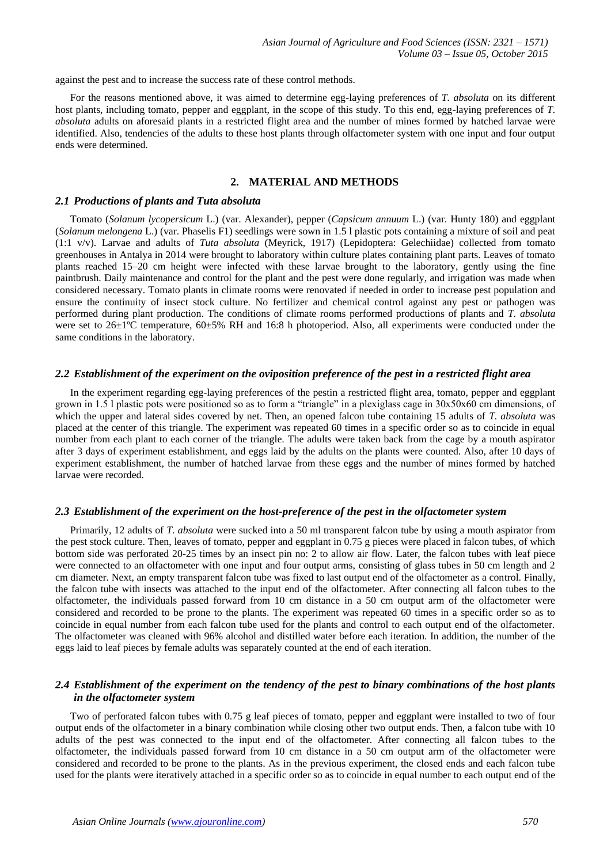against the pest and to increase the success rate of these control methods.

For the reasons mentioned above, it was aimed to determine egg-laying preferences of *T. absoluta* on its different host plants, including tomato, pepper and eggplant, in the scope of this study. To this end, egg-laying preferences of *T. absoluta* adults on aforesaid plants in a restricted flight area and the number of mines formed by hatched larvae were identified. Also, tendencies of the adults to these host plants through olfactometer system with one input and four output ends were determined.

# **2. MATERIAL AND METHODS**

#### *2.1 Productions of plants and Tuta absoluta*

Tomato (*Solanum lycopersicum* L.) (var. Alexander), pepper (*Capsicum annuum* L.) (var. Hunty 180) and eggplant (*Solanum melongena* L.) (var. Phaselis F1) seedlings were sown in 1.5 l plastic pots containing a mixture of soil and peat (1:1 v/v). Larvae and adults of *Tuta absoluta* (Meyrick, 1917) (Lepidoptera: Gelechiidae) collected from tomato greenhouses in Antalya in 2014 were brought to laboratory within culture plates containing plant parts. Leaves of tomato plants reached 15–20 cm height were infected with these larvae brought to the laboratory, gently using the fine paintbrush. Daily maintenance and control for the plant and the pest were done regularly, and irrigation was made when considered necessary. Tomato plants in climate rooms were renovated if needed in order to increase pest population and ensure the continuity of insect stock culture. No fertilizer and chemical control against any pest or pathogen was performed during plant production. The conditions of climate rooms performed productions of plants and *T. absoluta* were set to 26±1ºC temperature, 60±5% RH and 16:8 h photoperiod. Also, all experiments were conducted under the same conditions in the laboratory.

#### *2.2 Establishment of the experiment on the oviposition preference of the pest in a restricted flight area*

In the experiment regarding egg-laying preferences of the pestin a restricted flight area, tomato, pepper and eggplant grown in 1.5 l plastic pots were positioned so as to form a "triangle" in a plexiglass cage in 30x50x60 cm dimensions, of which the upper and lateral sides covered by net. Then, an opened falcon tube containing 15 adults of *T. absoluta* was placed at the center of this triangle. The experiment was repeated 60 times in a specific order so as to coincide in equal number from each plant to each corner of the triangle. The adults were taken back from the cage by a mouth aspirator after 3 days of experiment establishment, and eggs laid by the adults on the plants were counted. Also, after 10 days of experiment establishment, the number of hatched larvae from these eggs and the number of mines formed by hatched larvae were recorded.

#### *2.3 Establishment of the experiment on the host-preference of the pest in the olfactometer system*

Primarily, 12 adults of *T. absoluta* were sucked into a 50 ml transparent falcon tube by using a mouth aspirator from the pest stock culture. Then, leaves of tomato, pepper and eggplant in 0.75 g pieces were placed in falcon tubes, of which bottom side was perforated 20-25 times by an insect pin no: 2 to allow air flow. Later, the falcon tubes with leaf piece were connected to an olfactometer with one input and four output arms, consisting of glass tubes in 50 cm length and 2 cm diameter. Next, an empty transparent falcon tube was fixed to last output end of the olfactometer as a control. Finally, the falcon tube with insects was attached to the input end of the olfactometer. After connecting all falcon tubes to the olfactometer, the individuals passed forward from 10 cm distance in a 50 cm output arm of the olfactometer were considered and recorded to be prone to the plants. The experiment was repeated 60 times in a specific order so as to coincide in equal number from each falcon tube used for the plants and control to each output end of the olfactometer. The olfactometer was cleaned with 96% alcohol and distilled water before each iteration. In addition, the number of the eggs laid to leaf pieces by female adults was separately counted at the end of each iteration.

# *2.4 Establishment of the experiment on the tendency of the pest to binary combinations of the host plants in the olfactometer system*

Two of perforated falcon tubes with 0.75 g leaf pieces of tomato, pepper and eggplant were installed to two of four output ends of the olfactometer in a binary combination while closing other two output ends. Then, a falcon tube with 10 adults of the pest was connected to the input end of the olfactometer. After connecting all falcon tubes to the olfactometer, the individuals passed forward from 10 cm distance in a 50 cm output arm of the olfactometer were considered and recorded to be prone to the plants. As in the previous experiment, the closed ends and each falcon tube used for the plants were iteratively attached in a specific order so as to coincide in equal number to each output end of the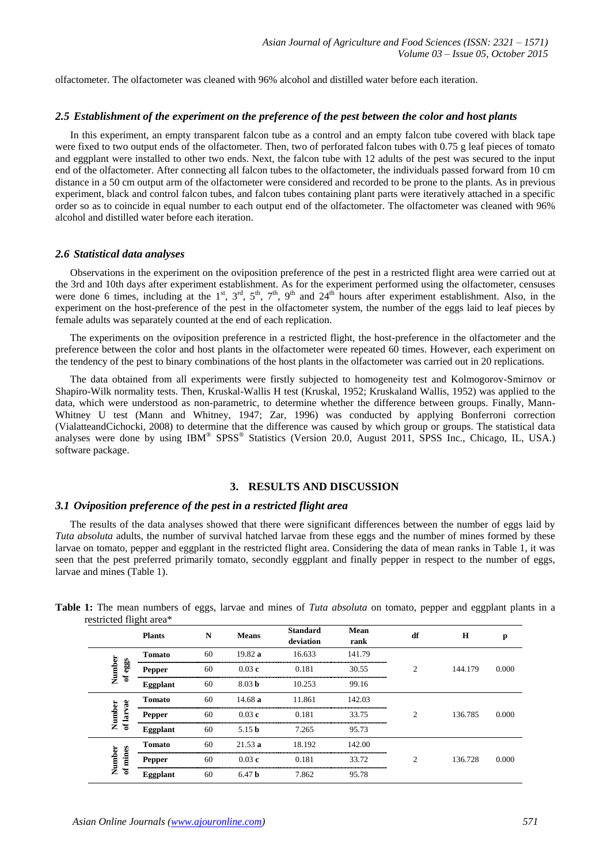olfactometer. The olfactometer was cleaned with 96% alcohol and distilled water before each iteration.

#### *2.5 Establishment of the experiment on the preference of the pest between the color and host plants*

In this experiment, an empty transparent falcon tube as a control and an empty falcon tube covered with black tape were fixed to two output ends of the olfactometer. Then, two of perforated falcon tubes with 0.75 g leaf pieces of tomato and eggplant were installed to other two ends. Next, the falcon tube with 12 adults of the pest was secured to the input end of the olfactometer. After connecting all falcon tubes to the olfactometer, the individuals passed forward from 10 cm distance in a 50 cm output arm of the olfactometer were considered and recorded to be prone to the plants. As in previous experiment, black and control falcon tubes, and falcon tubes containing plant parts were iteratively attached in a specific order so as to coincide in equal number to each output end of the olfactometer. The olfactometer was cleaned with 96% alcohol and distilled water before each iteration.

#### *2.6 Statistical data analyses*

Observations in the experiment on the oviposition preference of the pest in a restricted flight area were carried out at the 3rd and 10th days after experiment establishment. As for the experiment performed using the olfactometer, censuses were done 6 times, including at the 1<sup>st</sup>, 3<sup>rd</sup>, 5<sup>th</sup>, 7<sup>th</sup>, 9<sup>th</sup> and 24<sup>th</sup> hours after experiment establishment. Also, in the experiment on the host-preference of the pest in the olfactometer system, the number of the eggs laid to leaf pieces by female adults was separately counted at the end of each replication.

The experiments on the oviposition preference in a restricted flight, the host-preference in the olfactometer and the preference between the color and host plants in the olfactometer were repeated 60 times. However, each experiment on the tendency of the pest to binary combinations of the host plants in the olfactometer was carried out in 20 replications.

The data obtained from all experiments were firstly subjected to homogeneity test and Kolmogorov-Smirnov or Shapiro-Wilk normality tests. Then, Kruskal-Wallis H test (Kruskal, 1952; Kruskaland Wallis, 1952) was applied to the data, which were understood as non-parametric, to determine whether the difference between groups. Finally, Mann-Whitney U test (Mann and Whitney, 1947; Zar, 1996) was conducted by applying Bonferroni correction (VialatteandCichocki, 2008) to determine that the difference was caused by which group or groups. The statistical data analyses were done by using IBM® SPSS® Statistics (Version 20.0, August 2011, SPSS Inc., Chicago, IL, USA.) software package.

### **3. RESULTS AND DISCUSSION**

### *3.1 Oviposition preference of the pest in a restricted flight area*

The results of the data analyses showed that there were significant differences between the number of eggs laid by *Tuta absoluta* adults, the number of survival hatched larvae from these eggs and the number of mines formed by these larvae on tomato, pepper and eggplant in the restricted flight area. Considering the data of mean ranks in Table 1, it was seen that the pest preferred primarily tomato, secondly eggplant and finally pepper in respect to the number of eggs, larvae and mines (Table 1).

| $\frac{1}{2}$       | <b>Plants</b>   | N  | <b>Means</b>      | <b>Standard</b><br>deviation | Mean<br>rank | df             | $\mathbf H$ | р     |
|---------------------|-----------------|----|-------------------|------------------------------|--------------|----------------|-------------|-------|
|                     | <b>Tomato</b>   | 60 | 19.82 a           | 16.633                       | 141.79       |                |             |       |
| Number<br>of eggs   | <b>Pepper</b>   | 60 | 0.03c             | 0.181                        | 30.55        | $\mathfrak{D}$ | 144.179     | 0.000 |
|                     | <b>Eggplant</b> | 60 | 8.03 <sub>b</sub> | 10.253                       | 99.16        |                |             |       |
|                     | <b>Tomato</b>   | 60 | 14.68a            | 11.861                       | 142.03       |                |             |       |
| of larvae<br>Number | <b>Pepper</b>   | 60 | 0.03c             | 0.181                        | 33.75        | C              | 136.785     | 0.000 |
|                     | Eggplant        | 60 | 5.15 <sub>b</sub> | 7.265                        | 95.73        |                |             |       |
|                     | <b>Tomato</b>   | 60 | 21.53a            | 18.192                       | 142.00       |                |             |       |
| of mines<br>Number  | Pepper          | 60 | 0.03c             | 0.181                        | 33.72        | $\mathcal{D}$  | 136.728     | 0.000 |
|                     | Eggplant        | 60 | 6.47 <sub>b</sub> | 7.862                        | 95.78        |                |             |       |

**Table 1:** The mean numbers of eggs, larvae and mines of *Tuta absoluta* on tomato, pepper and eggplant plants in a restricted flight area\*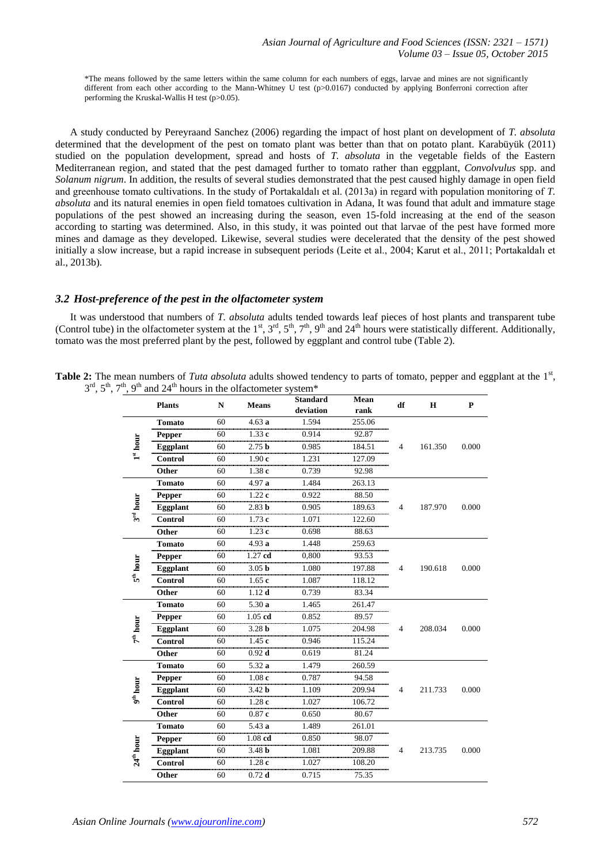\*The means followed by the same letters within the same column for each numbers of eggs, larvae and mines are not significantly different from each other according to the Mann-Whitney U test (p>0.0167) conducted by applying Bonferroni correction after performing the Kruskal-Wallis H test (p>0.05).

A study conducted by Pereyraand Sanchez (2006) regarding the impact of host plant on development of *T. absoluta* determined that the development of the pest on tomato plant was better than that on potato plant. Karabüyük (2011) studied on the population development, spread and hosts of *T. absoluta* in the vegetable fields of the Eastern Mediterranean region, and stated that the pest damaged further to tomato rather than eggplant, *Convolvulus* spp. and *Solanum nigrum*. In addition, the results of several studies demonstrated that the pest caused highly damage in open field and greenhouse tomato cultivations. In the study of Portakaldalı et al. (2013a) in regard with population monitoring of *T. absoluta* and its natural enemies in open field tomatoes cultivation in Adana, It was found that adult and immature stage populations of the pest showed an increasing during the season, even 15-fold increasing at the end of the season according to starting was determined. Also, in this study, it was pointed out that larvae of the pest have formed more mines and damage as they developed. Likewise, several studies were decelerated that the density of the pest showed initially a slow increase, but a rapid increase in subsequent periods (Leite et al., 2004; Karut et al., 2011; Portakaldalı et al., 2013b).

## *3.2 Host-preference of the pest in the olfactometer system*

It was understood that numbers of *T. absoluta* adults tended towards leaf pieces of host plants and transparent tube (Control tube) in the olfactometer system at the  $1^{st}$ ,  $3^{rd}$ ,  $5^{th}$ ,  $7^{th}$ ,  $9^{th}$  and  $24^{th}$  hours were statistically different. Additionally, tomato was the most preferred plant by the pest, followed by eggplant and control tube (Table 2).

| Table 2: The mean numbers of Tuta absoluta adults showed tendency to parts of tomato, pepper and eggplant at the $1st$ , |  |
|--------------------------------------------------------------------------------------------------------------------------|--|
| $3rd$ , $5th$ , $7th$ , $9th$ and $24th$ hours in the olfactometer system <sup>*</sup>                                   |  |

|                         | <b>Plants</b>   | N  | <b>Means</b>      | <b>Standard</b><br>deviation | Mean<br>rank | df | $\bf H$ | P     |
|-------------------------|-----------------|----|-------------------|------------------------------|--------------|----|---------|-------|
|                         | <b>Tomato</b>   | 60 | 4.63a             | 1.594                        | 255.06       |    |         |       |
|                         | Pepper          | 60 | 1.33c             | 0.914                        | 92.87        |    |         |       |
| $1^{\rm st}$ hour       | Eggplant        | 60 | 2.75 <sub>b</sub> | 0.985                        | 184.51       | 4  | 161.350 | 0.000 |
|                         | Control         | 60 | 1.90c             | 1.231                        | 127.09       |    |         |       |
|                         | Other           | 60 | 1.38c             | 0.739                        | 92.98        |    |         |       |
|                         | <b>Tomato</b>   | 60 | 4.97 a            | 1.484                        | 263.13       |    |         |       |
|                         | <b>Pepper</b>   | 60 | 1.22c             | 0.922                        | 88.50        |    |         |       |
| $3^{\rm rd}\, \rm hour$ | Eggplant        | 60 | 2.83 <sub>b</sub> | 0.905                        | 189.63       | 4  | 187.970 | 0.000 |
|                         | <b>Control</b>  | 60 | 1.73c             | 1.071                        | 122.60       |    |         |       |
|                         | Other           | 60 | 1.23c             | 0.698                        | 88.63        |    |         |       |
|                         | <b>Tomato</b>   | 60 | 4.93a             | 1.448                        | 259.63       |    |         |       |
| $5^{th}$ hour           | Pepper          | 60 | $1.27$ cd         | 0,800                        | 93.53        |    |         |       |
|                         | Eggplant        | 60 | 3.05 <sub>b</sub> | 1.080                        | 197.88       | 4  | 190.618 | 0.000 |
|                         | <b>Control</b>  | 60 | 1.65c             | 1.087                        | 118.12       |    |         |       |
|                         | Other           | 60 | $1.12$ d          | 0.739                        | 83.34        |    |         |       |
|                         | <b>Tomato</b>   | 60 | 5.30a             | 1.465                        | 261.47       |    |         |       |
|                         | Pepper          | 60 | $1.05$ $cd$       | 0.852                        | 89.57        |    | 208.034 |       |
| $7^{\rm th}$ hour       | <b>Eggplant</b> | 60 | 3.28 <sub>b</sub> | 1.075                        | 204.98       | 4  |         | 0.000 |
|                         | Control         | 60 | 1.45c             | 0.946                        | 115.24       |    |         |       |
|                         | Other           | 60 | $0.92$ d          | 0.619                        | 81.24        |    |         |       |
|                         | <b>Tomato</b>   | 60 | 5.32a             | 1.479                        | 260.59       |    |         |       |
|                         | <b>Pepper</b>   | 60 | 1.08c             | 0.787                        | 94.58        |    |         |       |
| $9^{\rm th}$ hour       | <b>Eggplant</b> | 60 | 3.42 <sub>b</sub> | 1.109                        | 209.94       | 4  | 211.733 | 0.000 |
|                         | Control         | 60 | 1.28c             | 1.027                        | 106.72       |    |         |       |
|                         | Other           | 60 | 0.87c             | 0.650                        | 80.67        |    |         |       |
|                         | <b>Tomato</b>   | 60 | 5.43a             | 1.489                        | 261.01       |    |         |       |
|                         | Pepper          | 60 | $1.08$ $cd$       | 0.850                        | 98.07        |    |         |       |
| 24 <sup>th</sup> hour   | Eggplant        | 60 | 3.48 <sub>b</sub> | 1.081                        | 209.88       | 4  | 213.735 | 0.000 |
|                         | Control         | 60 | 1.28c             | 1.027                        | 108.20       |    |         |       |
|                         | Other           | 60 | $0.72$ d          | 0.715                        | 75.35        |    |         |       |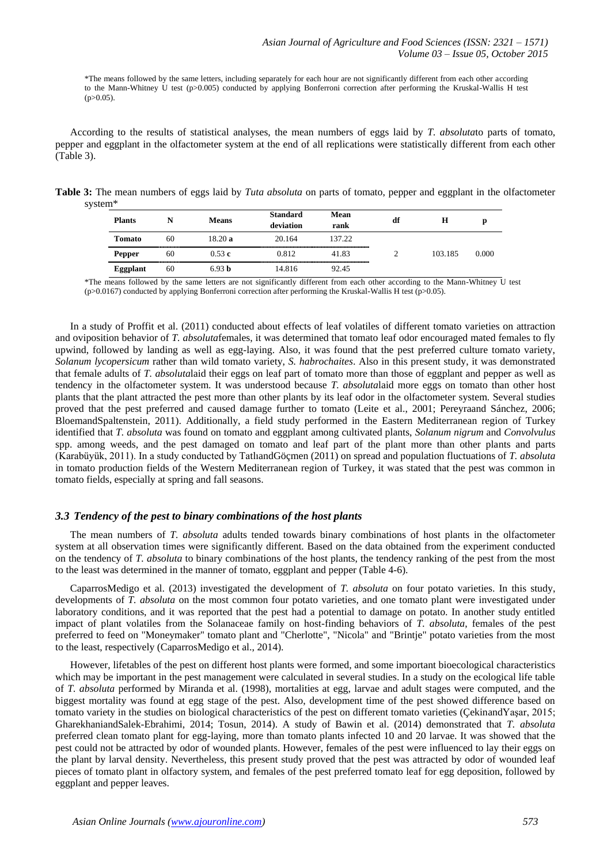\*The means followed by the same letters, including separately for each hour are not significantly different from each other according to the Mann-Whitney U test (p>0.005) conducted by applying Bonferroni correction after performing the Kruskal-Wallis H test  $(p>0.05)$ .

According to the results of statistical analyses, the mean numbers of eggs laid by *T. absoluta*to parts of tomato, pepper and eggplant in the olfactometer system at the end of all replications were statistically different from each other (Table 3).

**Table 3:** The mean numbers of eggs laid by *Tuta absoluta* on parts of tomato, pepper and eggplant in the olfactometer system\*

| <b>Plants</b>   | N               | <b>Means</b> | <b>Standard</b><br>deviation | Mean<br>rank | df | н       | n     |
|-----------------|-----------------|--------------|------------------------------|--------------|----|---------|-------|
| Tomato          | 60              | 18.20 a      | 20.164                       | 137.22       |    |         |       |
| <b>Pepper</b>   | 60              | 0.53c        | 0.812                        | 41.83        |    | 103.185 | 0.000 |
| <b>Eggplant</b> | ---------<br>60 | 6.93 h       | 14.816                       | 92.45        |    |         |       |

\*The means followed by the same letters are not significantly different from each other according to the Mann-Whitney U test  $(p>0.0167)$  conducted by applying Bonferroni correction after performing the Kruskal-Wallis H test  $(p>0.05)$ .

In a study of Proffit et al. (2011) conducted about effects of leaf volatiles of different tomato varieties on attraction and oviposition behavior of *T. absoluta*females, it was determined that tomato leaf odor encouraged mated females to fly upwind, followed by landing as well as egg-laying. Also, it was found that the pest preferred culture tomato variety, *Solanum lycopersicum* rather than wild tomato variety, *S. habrochaites*. Also in this present study, it was demonstrated that female adults of *T. absoluta*laid their eggs on leaf part of tomato more than those of eggplant and pepper as well as tendency in the olfactometer system. It was understood because *T. absoluta*laid more eggs on tomato than other host plants that the plant attracted the pest more than other plants by its leaf odor in the olfactometer system. Several studies proved that the pest preferred and caused damage further to tomato (Leite et al., 2001; Pereyraand Sánchez, 2006; BloemandSpaltenstein, 2011). Additionally, a field study performed in the Eastern Mediterranean region of Turkey identified that *T. absoluta* was found on tomato and eggplant among cultivated plants, *Solanum nigrum* and *Convolvulus* spp. among weeds, and the pest damaged on tomato and leaf part of the plant more than other plants and parts (Karabüyük, 2011). In a study conducted by TatlıandGöçmen (2011) on spread and population fluctuations of *T. absoluta* in tomato production fields of the Western Mediterranean region of Turkey, it was stated that the pest was common in tomato fields, especially at spring and fall seasons.

## *3.3 Tendency of the pest to binary combinations of the host plants*

The mean numbers of *T. absoluta* adults tended towards binary combinations of host plants in the olfactometer system at all observation times were significantly different. Based on the data obtained from the experiment conducted on the tendency of *T. absoluta* to binary combinations of the host plants, the tendency ranking of the pest from the most to the least was determined in the manner of tomato, eggplant and pepper (Table 4-6).

CaparrosMedigo et al. (2013) investigated the development of *T. absoluta* on four potato varieties. In this study, developments of *T. absoluta* on the most common four potato varieties, and one tomato plant were investigated under laboratory conditions, and it was reported that the pest had a potential to damage on potato. In another study entitled impact of plant volatiles from the Solanaceae family on host-finding behaviors of *T. absoluta*, females of the pest preferred to feed on "Moneymaker" tomato plant and "Cherlotte", "Nicola" and "Brintje" potato varieties from the most to the least, respectively (CaparrosMedigo et al., 2014).

However, lifetables of the pest on different host plants were formed, and some important bioecological characteristics which may be important in the pest management were calculated in several studies. In a study on the ecological life table of *T. absoluta* performed by Miranda et al. (1998), mortalities at egg, larvae and adult stages were computed, and the biggest mortality was found at egg stage of the pest. Also, development time of the pest showed difference based on tomato variety in the studies on biological characteristics of the pest on different tomato varieties (ÇekinandYaşar, 2015; GharekhaniandSalek-Ebrahimi, 2014; Tosun, 2014). A study of Bawin et al. (2014) demonstrated that *T. absoluta* preferred clean tomato plant for egg-laying, more than tomato plants infected 10 and 20 larvae. It was showed that the pest could not be attracted by odor of wounded plants. However, females of the pest were influenced to lay their eggs on the plant by larval density. Nevertheless, this present study proved that the pest was attracted by odor of wounded leaf pieces of tomato plant in olfactory system, and females of the pest preferred tomato leaf for egg deposition, followed by eggplant and pepper leaves.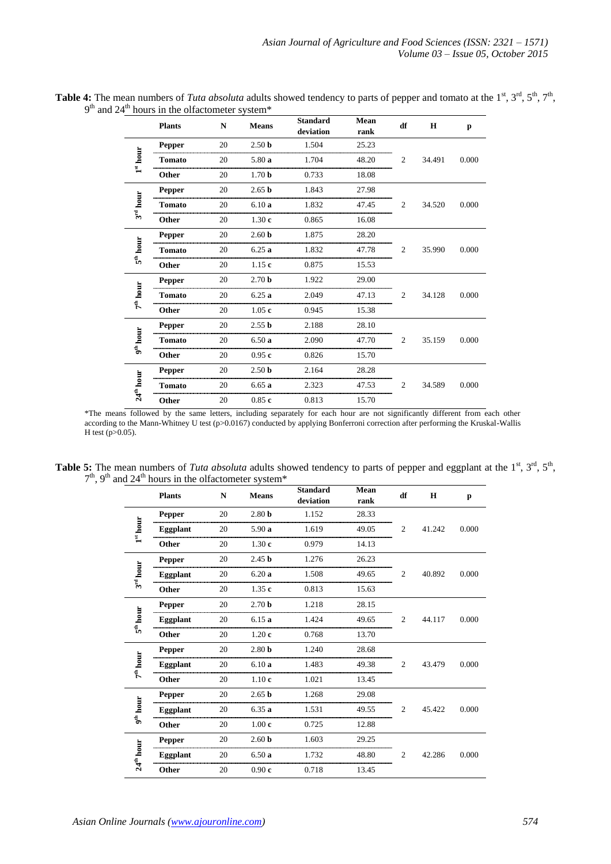|                       | <b>Plants</b> | N  | <b>Means</b>      | <b>Standard</b><br>deviation | Mean<br>rank | df             | $\mathbf H$ | p     |
|-----------------------|---------------|----|-------------------|------------------------------|--------------|----------------|-------------|-------|
|                       | Pepper        | 20 | 2.50 <sub>b</sub> | 1.504                        | 25.23        |                |             |       |
| $1^{\rm st}$ hour     | <b>Tomato</b> | 20 | 5.80a             | 1.704                        | 48.20        | $\overline{c}$ | 34.491      | 0.000 |
|                       | Other         | 20 | 1.70 <sub>b</sub> | 0.733                        | 18.08        |                |             |       |
| 3 <sup>rd</sup> hour  | <b>Pepper</b> | 20 | 2.65 <sub>b</sub> | 1.843                        | 27.98        |                |             |       |
|                       | <b>Tomato</b> | 20 | 6.10a             | 1.832                        | 47.45        | 2              | 34.520      | 0.000 |
|                       | Other         | 20 | 1.30c             | 0.865                        | 16.08        |                |             |       |
|                       | <b>Pepper</b> | 20 | 2.60 <sub>b</sub> | 1.875                        | 28.20        |                | 35.990      |       |
| $5^{\text{th}}$ hour  | <b>Tomato</b> | 20 | 6.25a             | 1.832                        | 47.78        | 2              |             | 0.000 |
|                       | Other         | 20 | 1.15c             | 0.875                        | 15.53        |                |             |       |
|                       | <b>Pepper</b> | 20 | 2.70 <sub>b</sub> | 1.922                        | 29.00        |                | 34.128      |       |
| $7^{\rm th}$ hour     | <b>Tomato</b> | 20 | 6.25a             | 2.049                        | 47.13        | 2              |             | 0.000 |
|                       | Other         | 20 | 1.05c             | 0.945                        | 15.38        |                |             |       |
|                       | <b>Pepper</b> | 20 | 2.55 <sub>b</sub> | 2.188                        | 28.10        |                |             |       |
| $9^{\text{th}}$ hour  | <b>Tomato</b> | 20 | 6.50a             | 2.090                        | 47.70        | 2              | 35.159      | 0.000 |
|                       | Other         | 20 | 0.95c             | 0.826                        | 15.70        |                |             |       |
|                       | <b>Pepper</b> | 20 | 2.50 <sub>b</sub> | 2.164                        | 28.28        |                |             |       |
| 24 <sup>th</sup> hour | <b>Tomato</b> | 20 | 6.65a             | 2.323                        | 47.53        | 2              | 34.589      | 0.000 |
|                       | Other         | 20 | 0.85c             | 0.813                        | 15.70        |                |             |       |

Table 4: The mean numbers of *Tuta absoluta* adults showed tendency to parts of pepper and tomato at the 1<sup>st</sup>, 3<sup>rd</sup>, 5<sup>th</sup>, 7<sup>th</sup>,  $9<sup>th</sup>$  and 24<sup>th</sup> hours in the olfactometer system\*

\*The means followed by the same letters, including separately for each hour are not significantly different from each other according to the Mann-Whitney U test (p>0.0167) conducted by applying Bonferroni correction after performing the Kruskal-Wallis H test  $(p>0.05)$ .

**Table 5:** The mean numbers of *Tuta absoluta* adults showed tendency to parts of pepper and eggplant at the  $1^{st}$ ,  $3^{rd}$ ,  $5^{th}$ ,  $7<sup>th</sup>$ , 9<sup>th</sup> and 24<sup>th</sup> hours in the olfactometer system\*

|                       | <b>Plants</b>   | N  | <b>Means</b>      | <b>Standard</b><br>deviation | Mean<br>rank | df             | $\mathbf H$ | p     |  |
|-----------------------|-----------------|----|-------------------|------------------------------|--------------|----------------|-------------|-------|--|
|                       | <b>Pepper</b>   | 20 | 2.80 <sub>b</sub> | 1.152                        | 28.33        |                |             |       |  |
| $1^{st}$ hour         | <b>Eggplant</b> | 20 | 5.90a             | 1.619                        | 49.05        | 2              | 41.242      | 0.000 |  |
|                       | Other           | 20 | 1.30c             | 0.979                        | 14.13        |                |             |       |  |
|                       | <b>Pepper</b>   | 20 | 2.45 <sub>b</sub> | 1.276                        | 26.23        |                |             |       |  |
| $3rd$ hour            | <b>Eggplant</b> | 20 | 6.20a             | 1.508                        | 49.65        | 2              | 40.892      | 0.000 |  |
|                       | Other           | 20 | 1.35c             | 0.813                        | 15.63        |                |             |       |  |
| $5^{\text{th}}$ hour  | <b>Pepper</b>   | 20 | 2.70 <sub>b</sub> | 1.218                        | 28.15        |                | 44.117      |       |  |
|                       | <b>Eggplant</b> | 20 | 6.15a             | 1.424                        | 49.65        | 2              |             | 0.000 |  |
|                       | Other           | 20 | 1.20c             | 0.768                        | 13.70        |                |             |       |  |
|                       | Pepper          | 20 | 2.80 <sub>b</sub> | 1.240                        | 28.68        |                | 43.479      |       |  |
| 7 <sup>th</sup> hour  | Eggplant        | 20 | 6.10a             | 1.483                        | 49.38        | 2              |             | 0.000 |  |
|                       | Other           | 20 | 1.10c             | 1.021                        | 13.45        |                |             |       |  |
|                       | <b>Pepper</b>   | 20 | 2.65 <sub>b</sub> | 1.268                        | 29.08        |                |             |       |  |
| 9 <sup>th</sup> hour  | <b>Eggplant</b> | 20 | 6.35a             | 1.531                        | 49.55        | 2              | 45.422      | 0.000 |  |
|                       | Other           | 20 | 1.00c             | 0.725                        | 12.88        |                |             |       |  |
|                       | <b>Pepper</b>   | 20 | 2.60 <sub>b</sub> | 1.603                        | 29.25        |                |             |       |  |
| 24 <sup>th</sup> hour | <b>Eggplant</b> | 20 | 6.50a             | 1.732                        | 48.80        | $\overline{c}$ | 42.286      | 0.000 |  |
|                       | Other           | 20 | 0.90c             | 0.718                        | 13.45        |                |             |       |  |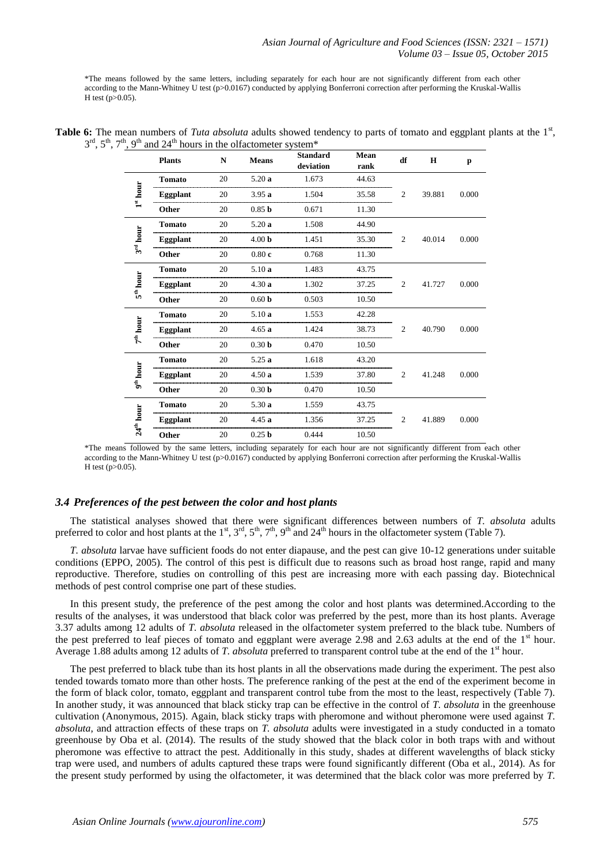\*The means followed by the same letters, including separately for each hour are not significantly different from each other according to the Mann-Whitney U test (p>0.0167) conducted by applying Bonferroni correction after performing the Kruskal-Wallis  $H$  test (p $>0.05$ ).

|                       | <b>Plants</b>   | N  | <b>Means</b>      | <b>Standard</b><br>deviation | Mean<br>rank | df             | $\mathbf H$ | p     |
|-----------------------|-----------------|----|-------------------|------------------------------|--------------|----------------|-------------|-------|
|                       | <b>Tomato</b>   | 20 | 5.20a             | 1.673                        | 44.63        |                |             |       |
| $1^{\rm st}$ hour     | Eggplant        | 20 | 3.95a             | 1.504                        | 35.58        | $\overline{2}$ | 39.881      | 0.000 |
|                       | Other           | 20 | 0.85 <sub>b</sub> | 0.671                        | 11.30        |                |             |       |
|                       | <b>Tomato</b>   | 20 | 5.20a             | 1.508<br>                    | 44.90        |                |             |       |
| $3rd$ hour            | <b>Eggplant</b> | 20 | 4.00 <sub>b</sub> | 1.451                        | 35.30        | $\overline{c}$ | 40.014      | 0.000 |
|                       | Other           | 20 | 0.80c             | 0.768                        | 11.30        |                |             |       |
|                       | <b>Tomato</b>   | 20 | 5.10a             | 1.483                        | 43.75        |                |             |       |
| $5^{\text{th}}$ hour  | <b>Eggplant</b> | 20 | 4.30a             | 1.302                        | 37.25        | 2              | 41.727      | 0.000 |
|                       | Other           | 20 | 0.60 <sub>b</sub> | 0.503                        | 10.50        |                |             |       |
|                       | <b>Tomato</b>   | 20 | 5.10a             | 1.553                        | 42.28        |                |             |       |
| $7^{\rm th}$ hour     | Eggplant        | 20 | 4.65a             | 1.424                        | 38.73        | 2              | 40.790      | 0.000 |
|                       | Other           | 20 | 0.30 <sub>b</sub> | 0.470                        | 10.50        |                |             |       |
|                       | <b>Tomato</b>   | 20 | 5.25a             | 1.618                        | 43.20        |                |             |       |
| $9^{th}$ hour         | <b>Eggplant</b> | 20 | 4.50a             | 1.539                        | 37.80        | 2              | 41.248      | 0.000 |
|                       | Other           | 20 | 0.30 <sub>b</sub> | 0.470                        | 10.50        |                |             |       |
|                       | <b>Tomato</b>   | 20 | 5.30a             | 1.559                        | 43.75        |                |             |       |
| 24 <sup>th</sup> hour | <b>Eggplant</b> | 20 | 4.45a             | 1.356                        | 37.25        | $\overline{c}$ | 41.889      | 0.000 |
|                       | Other           | 20 | 0.25 <sub>b</sub> | 0.444                        | 10.50        |                |             |       |

| Table 6: The mean numbers of Tuta absoluta adults showed tendency to parts of tomato and eggplant plants at the $1st$ , |  |  |
|-------------------------------------------------------------------------------------------------------------------------|--|--|
| $3rd$ , $5th$ , $7th$ , $9th$ and $24th$ hours in the olfactometer system <sup>*</sup>                                  |  |  |

\*The means followed by the same letters, including separately for each hour are not significantly different from each other according to the Mann-Whitney U test (p>0.0167) conducted by applying Bonferroni correction after performing the Kruskal-Wallis H test ( $p > 0.05$ ).

# *3.4 Preferences of the pest between the color and host plants*

The statistical analyses showed that there were significant differences between numbers of *T. absoluta* adults preferred to color and host plants at the 1<sup>st</sup>, 3<sup>rd</sup>, 5<sup>th</sup>, 7<sup>th</sup>, 9<sup>th</sup> and 24<sup>th</sup> hours in the olfactometer system (Table 7).

*T. absoluta* larvae have sufficient foods do not enter diapause, and the pest can give 10-12 generations under suitable conditions (EPPO, 2005). The control of this pest is difficult due to reasons such as broad host range, rapid and many reproductive. Therefore, studies on controlling of this pest are increasing more with each passing day. Biotechnical methods of pest control comprise one part of these studies.

In this present study, the preference of the pest among the color and host plants was determined.According to the results of the analyses, it was understood that black color was preferred by the pest, more than its host plants. Average 3.37 adults among 12 adults of *T. absoluta* released in the olfactometer system preferred to the black tube. Numbers of the pest preferred to leaf pieces of tomato and eggplant were average 2.98 and 2.63 adults at the end of the  $1<sup>st</sup>$  hour. Average 1.88 adults among 12 adults of *T. absoluta* preferred to transparent control tube at the end of the 1<sup>st</sup> hour.

The pest preferred to black tube than its host plants in all the observations made during the experiment. The pest also tended towards tomato more than other hosts. The preference ranking of the pest at the end of the experiment become in the form of black color, tomato, eggplant and transparent control tube from the most to the least, respectively (Table 7). In another study, it was announced that black sticky trap can be effective in the control of *T. absoluta* in the greenhouse cultivation (Anonymous, 2015). Again, black sticky traps with pheromone and without pheromone were used against *T. absoluta*, and attraction effects of these traps on *T. absoluta* adults were investigated in a study conducted in a tomato greenhouse by Oba et al. (2014). The results of the study showed that the black color in both traps with and without pheromone was effective to attract the pest. Additionally in this study, shades at different wavelengths of black sticky trap were used, and numbers of adults captured these traps were found significantly different (Oba et al., 2014). As for the present study performed by using the olfactometer, it was determined that the black color was more preferred by *T.*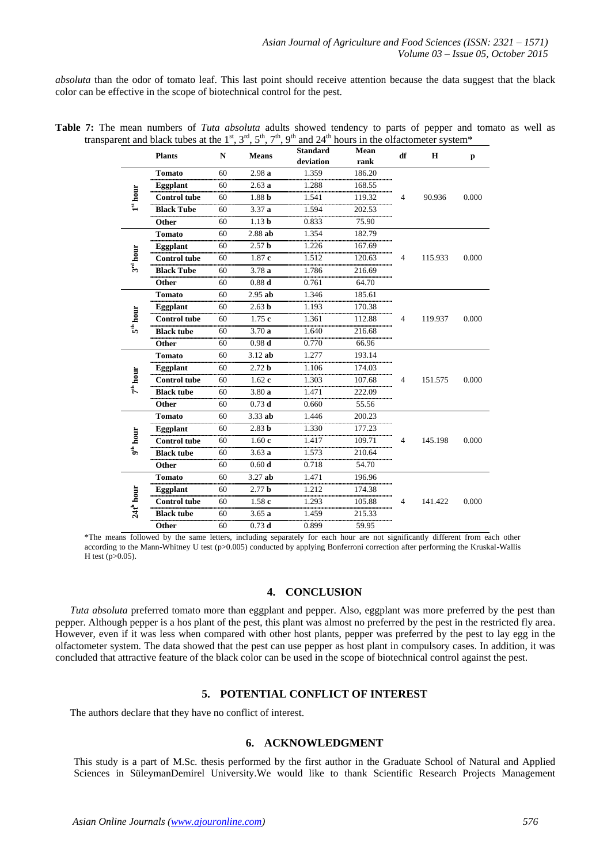*absoluta* than the odor of tomato leaf. This last point should receive attention because the data suggest that the black color can be effective in the scope of biotechnical control for the pest.

|  |  |  | Table 7: The mean numbers of Tuta absoluta adults showed tendency to parts of pepper and tomato as well as                                                                        |  |  |  |  |  |  |
|--|--|--|-----------------------------------------------------------------------------------------------------------------------------------------------------------------------------------|--|--|--|--|--|--|
|  |  |  | transparent and black tubes at the 1 <sup>st</sup> , 3 <sup>rd</sup> , 5 <sup>th</sup> , 7 <sup>th</sup> , 9 <sup>th</sup> and 24 <sup>th</sup> hours in the olfactometer system* |  |  |  |  |  |  |

|                            | <b>Plants</b>       | $\mathbf N$ | <b>Means</b>      | <b>Standard</b><br>deviation | Mean<br>rank | df | H       | p     |
|----------------------------|---------------------|-------------|-------------------|------------------------------|--------------|----|---------|-------|
|                            | <b>Tomato</b>       | 60          | 2.98a             | 1.359                        | 186.20       |    |         |       |
|                            | <b>Eggplant</b>     | 60          | 2.63a             | 1.288                        | 168.55       |    |         |       |
| $1^{\rm st}$ hour          | <b>Control tube</b> | 60          | 1.88 <sub>b</sub> | 1.541                        | 119.32       | 4  | 90.936  | 0.000 |
|                            | <b>Black Tube</b>   | 60          | 3.37a             | 1.594                        | 202.53       |    |         |       |
|                            | Other               | 60          | 1.13 <sub>b</sub> | 0.833                        | 75.90        |    |         |       |
|                            | <b>Tomato</b>       | 60          | $2.88$ ab         | 1.354                        | 182.79       |    |         |       |
| $3^{rd}$ hour              | <b>Eggplant</b>     | 60          | 2.57 <sub>b</sub> | 1.226                        | 167.69       |    |         |       |
|                            | <b>Control</b> tube | 60          | 1.87c             | 1.512                        | 120.63       | 4  | 115.933 | 0.000 |
|                            | <b>Black Tube</b>   | 60          | 3.78a             | 1.786                        | 216.69       |    |         |       |
|                            | Other               | 60          | 0.88 <sub>d</sub> | 0.761                        | 64.70        |    |         |       |
| 5 <sup>th</sup> hour       | <b>Tomato</b>       | 60          | $2.95$ ab         | 1.346                        | 185.61       |    |         |       |
|                            | <b>Eggplant</b>     | 60          | 2.63 <sub>b</sub> | 1.193                        | 170.38       |    |         |       |
|                            | <b>Control tube</b> | 60          | 1.75c             | 1.361                        | 112.88       | 4  | 119.937 | 0.000 |
|                            | <b>Black tube</b>   | 60          | 3.70a             | 1.640                        | 216.68       |    |         |       |
|                            | Other               | 60          | 0.98d             | 0.770                        | 66.96        |    |         |       |
|                            | <b>Tomato</b>       | 60          | $3.12$ ab         | 1.277                        | 193.14       |    |         |       |
|                            | Eggplant            | 60          | 2.72 <sub>b</sub> | 1.106                        | 174.03       |    | 151.575 |       |
| $7^{\text{\tiny th}}$ hour | <b>Control tube</b> | 60          | 1.62c             | 1.303                        | 107.68       | 4  |         | 0.000 |
|                            | <b>Black tube</b>   | 60          | 3.80a             | 1.471                        | 222.09       |    |         |       |
|                            | Other               | 60          | $0.73$ d          | 0.660                        | 55.56        |    |         |       |
|                            | <b>Tomato</b>       | 60          | $3.33$ ab         | 1.446                        | 200.23       |    |         |       |
|                            | Eggplant            | 60          | 2.83 <sub>b</sub> | 1.330                        | 177.23       |    |         |       |
| 9 <sup>th</sup> hour       | <b>Control tube</b> | 60          | 1.60c             | 1.417                        | 109.71       | 4  | 145.198 | 0.000 |
|                            | <b>Black tube</b>   | 60          | 3.63a             | 1.573                        | 210.64       |    |         |       |
|                            | Other               | 60          | 0.60 <sub>d</sub> | 0.718                        | 54.70        |    |         |       |
|                            | <b>Tomato</b>       | 60          | $3.27$ ab         | 1.471                        | 196.96       |    |         |       |
|                            | Eggplant            | 60          | 2.77 <sub>b</sub> | 1.212                        | 174.38       |    |         |       |
| 24th hour                  | Control tube        | 60          | 1.58c             | 1.293                        | 105.88       | 4  | 141.422 | 0.000 |
|                            | <b>Black tube</b>   | 60          | 3.65a             | 1.459                        | 215.33       |    |         |       |
|                            | Other               | 60          | $0.73$ d          | 0.899                        | 59.95        |    |         |       |

<sup>\*</sup>The means followed by the same letters, including separately for each hour are not significantly different from each other according to the Mann-Whitney U test (p>0.005) conducted by applying Bonferroni correction after performing the Kruskal-Wallis H test (p>0.05).

# **4. CONCLUSION**

*Tuta absoluta* preferred tomato more than eggplant and pepper. Also, eggplant was more preferred by the pest than pepper. Although pepper is a hos plant of the pest, this plant was almost no preferred by the pest in the restricted fly area. However, even if it was less when compared with other host plants, pepper was preferred by the pest to lay egg in the olfactometer system. The data showed that the pest can use pepper as host plant in compulsory cases. In addition, it was concluded that attractive feature of the black color can be used in the scope of biotechnical control against the pest.

## **5. POTENTIAL CONFLICT OF INTEREST**

The authors declare that they have no conflict of interest.

# **6. ACKNOWLEDGMENT**

This study is a part of M.Sc. thesis performed by the first author in the Graduate School of Natural and Applied Sciences in SüleymanDemirel University.We would like to thank Scientific Research Projects Management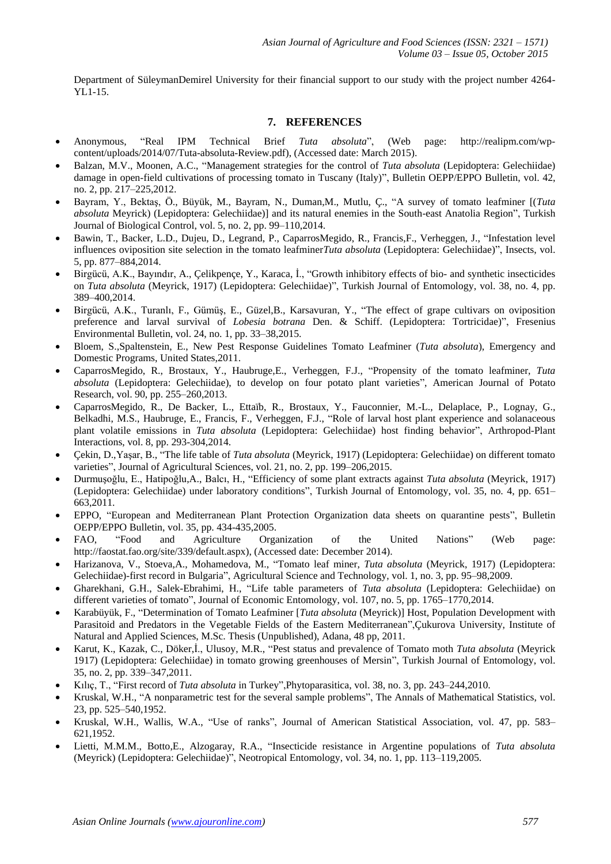Department of SüleymanDemirel University for their financial support to our study with the project number 4264- YL1-15.

## **7. REFERENCES**

- Anonymous, "Real IPM Technical Brief *Tuta absoluta*", (Web page: http://realipm.com/wpcontent/uploads/2014/07/Tuta-absoluta-Review.pdf), (Accessed date: March 2015).
- Balzan, M.V., Moonen, A.C., "Management strategies for the control of *Tuta absoluta* (Lepidoptera: Gelechiidae) damage in open-field cultivations of processing tomato in Tuscany (Italy)", Bulletin OEPP/EPPO Bulletin, vol. 42, no. 2, pp. 217–225,2012.
- Bayram, Y., Bektaş, Ö., Büyük, M., Bayram, N., Duman,M., Mutlu, Ç., "A survey of tomato leafminer [(*Tuta absoluta* Meyrick) (Lepidoptera: Gelechiidae)] and its natural enemies in the South-east Anatolia Region", Turkish Journal of Biological Control, vol. 5, no. 2, pp. 99–110,2014.
- Bawin, T., Backer, L.D., Dujeu, D., Legrand, P., CaparrosMegido, R., Francis,F., Verheggen, J., "Infestation level influences oviposition site selection in the tomato leafminer*Tuta absoluta* (Lepidoptera: Gelechiidae)", Insects, vol. 5, pp. 877–884,2014.
- Birgücü, A.K., Bayındır, A., Çelikpençe, Y., Karaca, İ., "Growth inhibitory effects of bio- and synthetic insecticides on *Tuta absoluta* (Meyrick, 1917) (Lepidoptera: Gelechiidae)", Turkish Journal of Entomology, vol. 38, no. 4, pp. 389–400,2014.
- Birgücü, A.K., Turanlı, F., Gümüş, E., Güzel,B., Karsavuran, Y., "The effect of grape cultivars on oviposition preference and larval survival of *Lobesia botrana* Den. & Schiff. (Lepidoptera: Tortricidae)", Fresenius Environmental Bulletin, vol. 24, no. 1, pp. 33–38,2015.
- Bloem, S.,Spaltenstein, E., New Pest Response Guidelines Tomato Leafminer (*Tuta absoluta*), Emergency and Domestic Programs, United States,2011.
- CaparrosMegido, R., Brostaux, Y., Haubruge,E., Verheggen, F.J., "Propensity of the tomato leafminer, *Tuta absoluta* (Lepidoptera: Gelechiidae), to develop on four potato plant varieties", American Journal of Potato Research, vol. 90, pp. 255–260,2013.
- CaparrosMegido, R., De Backer, L., Ettaïb, R., Brostaux, Y., Fauconnier, M.-L., Delaplace, P., Lognay, G., Belkadhi, M.S., Haubruge, E., Francis, F., Verheggen, F.J., "Role of larval host plant experience and solanaceous plant volatile emissions in *Tuta absoluta* (Lepidoptera: Gelechiidae) host finding behavior", Arthropod-Plant Interactions, vol. 8, pp. 293-304,2014.
- Çekin, D.,Yaşar, B., "The life table of *Tuta absoluta* (Meyrick, 1917) (Lepidoptera: Gelechiidae) on different tomato varieties", Journal of Agricultural Sciences, vol. 21, no. 2, pp. 199–206,2015.
- Durmuşoğlu, E., Hatipoğlu,A., Balcı, H., "Efficiency of some plant extracts against *Tuta absoluta* (Meyrick, 1917) (Lepidoptera: Gelechiidae) under laboratory conditions", Turkish Journal of Entomology, vol. 35, no. 4, pp. 651– 663,2011.
- EPPO, "European and Mediterranean Plant Protection Organization data sheets on quarantine pests", Bulletin OEPP/EPPO Bulletin, vol. 35, pp. 434-435,2005.
- FAO, "Food and Agriculture Organization of the United Nations" (Web page: http://faostat.fao.org/site/339/default.aspx), (Accessed date: December 2014).
- Harizanova, V., Stoeva,A., Mohamedova, M., "Tomato leaf miner, *Tuta absoluta* (Meyrick, 1917) (Lepidoptera: Gelechiidae)-first record in Bulgaria", Agricultural Science and Technology, vol. 1, no. 3, pp. 95–98,2009.
- Gharekhani, G.H., Salek-Ebrahimi, H., "Life table parameters of *Tuta absoluta* (Lepidoptera: Gelechiidae) on different varieties of tomato", Journal of Economic Entomology, vol. 107, no. 5, pp. 1765–1770,2014.
- Karabüyük, F., "Determination of Tomato Leafminer [*Tuta absoluta* (Meyrick)] Host, Population Development with Parasitoid and Predators in the Vegetable Fields of the Eastern Mediterranean",Çukurova University, Institute of Natural and Applied Sciences, M.Sc. Thesis (Unpublished), Adana, 48 pp, 2011.
- Karut, K., Kazak, C., Döker,İ., Ulusoy, M.R., "Pest status and prevalence of Tomato moth *Tuta absoluta* (Meyrick 1917) (Lepidoptera: Gelechiidae) in tomato growing greenhouses of Mersin", Turkish Journal of Entomology, vol. 35, no. 2, pp. 339–347,2011.
- Kılıç, T., "First record of *Tuta absoluta* in Turkey",Phytoparasitica, vol. 38, no. 3, pp. 243–244,2010.
- Kruskal, W.H., "A nonparametric test for the several sample problems", The Annals of Mathematical Statistics, vol. 23, pp. 525–540,1952.
- Kruskal, W.H., Wallis, W.A., "Use of ranks", Journal of American Statistical Association, vol. 47, pp. 583– 621,1952.
- Lietti, M.M.M., Botto,E., Alzogaray, R.A., "Insecticide resistance in Argentine populations of *Tuta absoluta* (Meyrick) (Lepidoptera: Gelechiidae)", Neotropical Entomology, vol. 34, no. 1, pp. 113–119,2005.